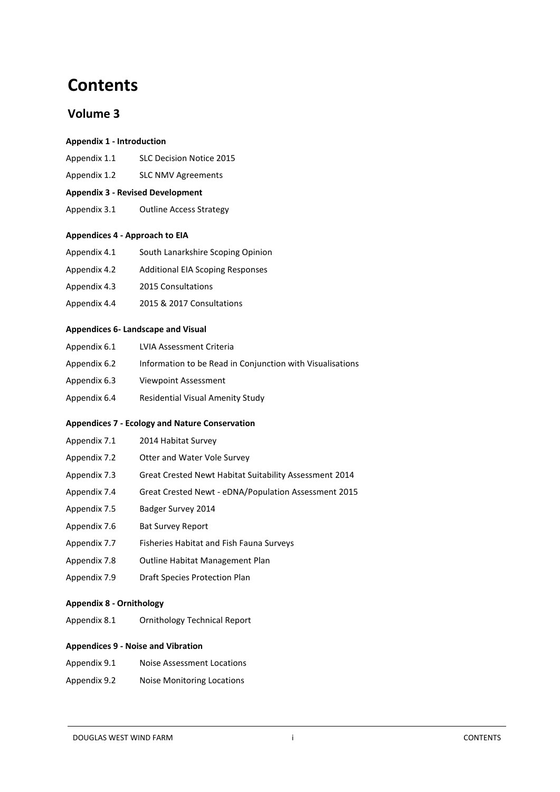# **Contents**

# **Volume 3**

#### **Appendix 1 - Introduction**

- Appendix 1.1 SLC Decision Notice 2015
- Appendix 1.2 SLC NMV Agreements

## **Appendix 3 - Revised Development**

Appendix 3.1 Outline Access Strategy

## **Appendices 4 - Approach to EIA**

- Appendix 4.1 South Lanarkshire Scoping Opinion
- Appendix 4.2 Additional EIA Scoping Responses
- Appendix 4.3 2015 Consultations
- Appendix 4.4 2015 & 2017 Consultations

#### **Appendices 6- Landscape and Visual**

| Appendix 6.1 | LVIA Assessment Criteria                                  |
|--------------|-----------------------------------------------------------|
| Appendix 6.2 | Information to be Read in Conjunction with Visualisations |
| Appendix 6.3 | Viewpoint Assessment                                      |
| Appendix 6.4 | Residential Visual Amenity Study                          |

## **Appendices 7 - Ecology and Nature Conservation**

- Appendix 7.2 Otter and Water Vole Survey
- 1.1.14 Appendix 7.3 Great Crested Newt Habitat Suitability Assessment 2014
- 1.1.15 Appendix 7.4 Great Crested Newt eDNA/Population Assessment 2015
- 1.1.16 Appendix 7.5 Badger Survey 2014
- Appendix 7.6 Bat Survey Report
- Appendix 7.7 Fisheries Habitat and Fish Fauna Surveys
- Appendix 7.8 Outline Habitat Management Plan
- Appendix 7.9 Draft Species Protection Plan

## **Appendix 8 - Ornithology**

Appendix 8.1 Ornithology Technical Report

## **Appendices 9 - Noise and Vibration**

- Appendix 9.1 Noise Assessment Locations
- Appendix 9.2 Noise Monitoring Locations